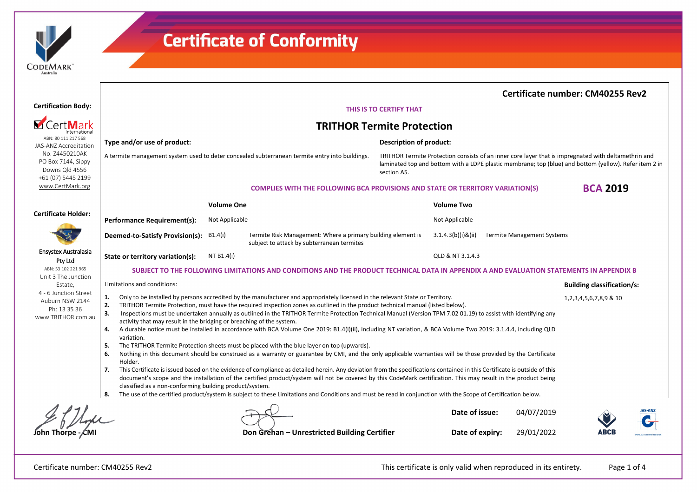

|                                                                                                                                         |                                                                                                                                                                                                                                                                                                                                                                                                                                                                                                                              |                                                                                       |                                                                                                                                                               |                                                                                                                                                                                                                               |                       |                                   | <b>Certificate number: CM40255 Rev2</b> |                |
|-----------------------------------------------------------------------------------------------------------------------------------------|------------------------------------------------------------------------------------------------------------------------------------------------------------------------------------------------------------------------------------------------------------------------------------------------------------------------------------------------------------------------------------------------------------------------------------------------------------------------------------------------------------------------------|---------------------------------------------------------------------------------------|---------------------------------------------------------------------------------------------------------------------------------------------------------------|-------------------------------------------------------------------------------------------------------------------------------------------------------------------------------------------------------------------------------|-----------------------|-----------------------------------|-----------------------------------------|----------------|
| <b>Certification Body:</b>                                                                                                              | THIS IS TO CERTIFY THAT                                                                                                                                                                                                                                                                                                                                                                                                                                                                                                      |                                                                                       |                                                                                                                                                               |                                                                                                                                                                                                                               |                       |                                   |                                         |                |
|                                                                                                                                         | <b>TRITHOR Termite Protection</b>                                                                                                                                                                                                                                                                                                                                                                                                                                                                                            |                                                                                       |                                                                                                                                                               |                                                                                                                                                                                                                               |                       |                                   |                                         |                |
| ABN: 80 111 217 568<br>JAS-ANZ Accreditation                                                                                            | Type and/or use of product:                                                                                                                                                                                                                                                                                                                                                                                                                                                                                                  |                                                                                       |                                                                                                                                                               | Description of product:                                                                                                                                                                                                       |                       |                                   |                                         |                |
| No. Z4450210AK<br>PO Box 7144, Sippy<br>Downs Qld 4556<br>+61 (07) 5445 2199<br>www.CertMark.org                                        | A termite management system used to deter concealed subterranean termite entry into buildings.                                                                                                                                                                                                                                                                                                                                                                                                                               |                                                                                       |                                                                                                                                                               | TRITHOR Termite Protection consists of an inner core layer that is impregnated with deltamethrin and<br>laminated top and bottom with a LDPE plastic membrane; top (blue) and bottom (yellow). Refer item 2 in<br>section A5. |                       |                                   |                                         |                |
|                                                                                                                                         |                                                                                                                                                                                                                                                                                                                                                                                                                                                                                                                              | <b>COMPLIES WITH THE FOLLOWING BCA PROVISIONS AND STATE OR TERRITORY VARIATION(S)</b> |                                                                                                                                                               |                                                                                                                                                                                                                               | <b>BCA 2019</b>       |                                   |                                         |                |
| <b>Certificate Holder:</b>                                                                                                              | <b>Volume One</b>                                                                                                                                                                                                                                                                                                                                                                                                                                                                                                            |                                                                                       |                                                                                                                                                               | <b>Volume Two</b>                                                                                                                                                                                                             |                       |                                   |                                         |                |
|                                                                                                                                         | <b>Performance Requirement(s):</b>                                                                                                                                                                                                                                                                                                                                                                                                                                                                                           | Not Applicable                                                                        |                                                                                                                                                               | Not Applicable                                                                                                                                                                                                                |                       |                                   |                                         |                |
|                                                                                                                                         | Deemed-to-Satisfy Provision(s): B1.4(i)                                                                                                                                                                                                                                                                                                                                                                                                                                                                                      |                                                                                       | Termite Risk Management: Where a primary building element is<br>subject to attack by subterranean termites                                                    |                                                                                                                                                                                                                               | $3.1.4.3(b)(i)$ &(ii) | <b>Termite Management Systems</b> |                                         |                |
| Ensystex Australasia<br>Pty Ltd                                                                                                         | State or territory variation(s):                                                                                                                                                                                                                                                                                                                                                                                                                                                                                             | NT B1.4(i)                                                                            |                                                                                                                                                               |                                                                                                                                                                                                                               | QLD & NT 3.1.4.3      |                                   |                                         |                |
| ABN: 53 102 221 965<br>Unit 3 The Junction<br>Estate,<br>4 - 6 Junction Street<br>Auburn NSW 2144<br>Ph: 13 35 36<br>www.TRITHOR.com.au | SUBJECT TO THE FOLLOWING LIMITATIONS AND CONDITIONS AND THE PRODUCT TECHNICAL DATA IN APPENDIX A AND EVALUATION STATEMENTS IN APPENDIX B                                                                                                                                                                                                                                                                                                                                                                                     |                                                                                       |                                                                                                                                                               |                                                                                                                                                                                                                               |                       |                                   |                                         |                |
|                                                                                                                                         | Limitations and conditions:                                                                                                                                                                                                                                                                                                                                                                                                                                                                                                  |                                                                                       |                                                                                                                                                               |                                                                                                                                                                                                                               |                       |                                   | <b>Building classification/s:</b>       |                |
|                                                                                                                                         | Only to be installed by persons accredited by the manufacturer and appropriately licensed in the relevant State or Territory.<br>1.<br>2.<br>TRITHOR Termite Protection, must have the required inspection zones as outlined in the product technical manual (listed below).<br>Inspections must be undertaken annually as outlined in the TRITHOR Termite Protection Technical Manual (Version TPM 7.02 01.19) to assist with identifying any<br>3.<br>activity that may result in the bridging or breaching of the system. |                                                                                       |                                                                                                                                                               |                                                                                                                                                                                                                               |                       |                                   | 1, 2, 3, 4, 5, 6, 7, 8, 9 & 10          |                |
|                                                                                                                                         | A durable notice must be installed in accordance with BCA Volume One 2019: B1.4(i)(ii), including NT variation, & BCA Volume Two 2019: 3.1.4.4, including QLD<br>4.<br>variation.                                                                                                                                                                                                                                                                                                                                            |                                                                                       |                                                                                                                                                               |                                                                                                                                                                                                                               |                       |                                   |                                         |                |
|                                                                                                                                         | The TRITHOR Termite Protection sheets must be placed with the blue layer on top (upwards).<br>-5.                                                                                                                                                                                                                                                                                                                                                                                                                            |                                                                                       |                                                                                                                                                               |                                                                                                                                                                                                                               |                       |                                   |                                         |                |
|                                                                                                                                         | Nothing in this document should be construed as a warranty or guarantee by CMI, and the only applicable warranties will be those provided by the Certificate<br>6.<br>Holder.                                                                                                                                                                                                                                                                                                                                                |                                                                                       |                                                                                                                                                               |                                                                                                                                                                                                                               |                       |                                   |                                         |                |
|                                                                                                                                         | This Certificate is issued based on the evidence of compliance as detailed herein. Any deviation from the specifications contained in this Certificate is outside of this<br>7.<br>document's scope and the installation of the certified product/system will not be covered by this CodeMark certification. This may result in the product being<br>classified as a non-conforming building product/system.                                                                                                                 |                                                                                       |                                                                                                                                                               |                                                                                                                                                                                                                               |                       |                                   |                                         |                |
|                                                                                                                                         | 8.                                                                                                                                                                                                                                                                                                                                                                                                                                                                                                                           |                                                                                       | The use of the certified product/system is subject to these Limitations and Conditions and must be read in conjunction with the Scope of Certification below. |                                                                                                                                                                                                                               |                       |                                   |                                         |                |
|                                                                                                                                         |                                                                                                                                                                                                                                                                                                                                                                                                                                                                                                                              |                                                                                       |                                                                                                                                                               |                                                                                                                                                                                                                               | Date of issue:        | 04/07/2019                        |                                         | <b>IAS-ANZ</b> |
|                                                                                                                                         |                                                                                                                                                                                                                                                                                                                                                                                                                                                                                                                              |                                                                                       | Don Grehan - Unrestricted Building Certifier                                                                                                                  |                                                                                                                                                                                                                               | Date of expiry:       | 29/01/2022                        | ABCE                                    |                |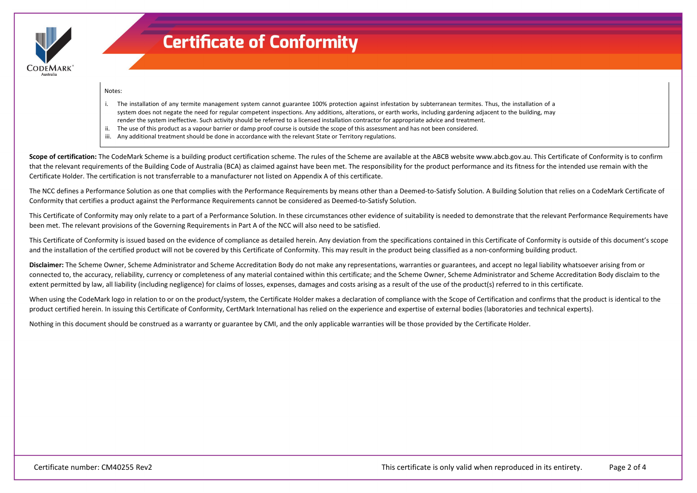

#### Notes:

- i. The installation of any termite management system cannot guarantee 100% protection against infestation by subterranean termites. Thus, the installation of a system does not negate the need for regular competent inspections. Any additions, alterations, or earth works, including gardening adjacent to the building, may render the system ineffective. Such activity should be referred to a licensed installation contractor for appropriate advice and treatment.
- ii. The use of this product as a vapour barrier or damp proof course is outside the scope of this assessment and has not been considered.
- iii. Any additional treatment should be done in accordance with the relevant State or Territory regulations.

Scope of certification: The CodeMark Scheme is a building product certification scheme. The rules of the Scheme are available at the ABCB website www.abcb.gov.au. This Certificate of Conformity is to confirm that the relevant requirements of the Building Code of Australia (BCA) as claimed against have been met. The responsibility for the product performance and its fitness for the intended use remain with the Certificate Holder. The certification is not transferrable to a manufacturer not listed on Appendix A of this certificate.

The NCC defines a Performance Solution as one that complies with the Performance Requirements by means other than a Deemed-to-Satisfy Solution. A Building Solution that relies on a CodeMark Certificate of Conformity that certifies a product against the Performance Requirements cannot be considered as Deemed-to-Satisfy Solution.

This Certificate of Conformity may only relate to a part of a Performance Solution. In these circumstances other evidence of suitability is needed to demonstrate that the relevant Performance Requirements have been met. The relevant provisions of the Governing Requirements in Part A of the NCC will also need to be satisfied.

This Certificate of Conformity is issued based on the evidence of compliance as detailed herein. Any deviation from the specifications contained in this Certificate of Conformity is outside of this document's scope and the installation of the certified product will not be covered by this Certificate of Conformity. This may result in the product being classified as a non-conforming building product.

**Disclaimer:** The Scheme Owner, Scheme Administrator and Scheme Accreditation Body do not make any representations, warranties or guarantees, and accept no legal liability whatsoever arising from or connected to, the accuracy, reliability, currency or completeness of any material contained within this certificate; and the Scheme Owner, Scheme Administrator and Scheme Accreditation Body disclaim to the extent permitted by law, all liability (including negligence) for claims of losses, expenses, damages and costs arising as a result of the use of the product(s) referred to in this certificate.

When using the CodeMark logo in relation to or on the product/system, the Certificate Holder makes a declaration of compliance with the Scope of Certification and confirms that the product is identical to the product certified herein. In issuing this Certificate of Conformity, CertMark International has relied on the experience and expertise of external bodies (laboratories and technical experts).

Nothing in this document should be construed as a warranty or guarantee by CMI, and the only applicable warranties will be those provided by the Certificate Holder.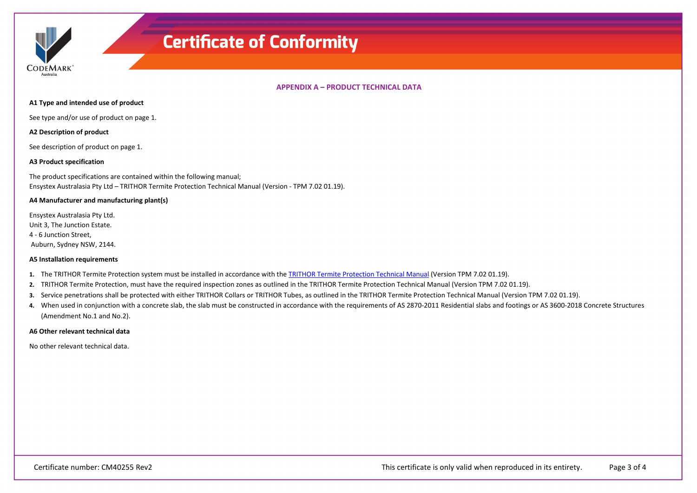

**APPENDIX A – PRODUCT TECHNICAL DATA**

#### **A1 Type and intended use of product**

See type and/or use of product on page 1.

### **A2 Description of product**

See description of product on page 1.

#### **A3 Product specification**

The product specifications are contained within the following manual; Ensystex Australasia Pty Ltd – TRITHOR Termite Protection Technical Manual (Version - TPM 7.02 01.19).

#### **A4 Manufacturer and manufacturing plant(s)**

Ensystex Australasia Pty Ltd. Unit 3, The Junction Estate. 4 - 6 Junction Street, Auburn, Sydney NSW, 2144.

#### **A5 Installation requirements**

- **1.** The TRITHOR Termite Protection system must be installed in accordance with th[e TRITHOR Termite Protection Technical Manual](https://register.certmark.org/certificates/Ensystex/TRITHOR_7_02.pdf) (Version TPM 7.02 01.19).
- **2.** TRITHOR Termite Protection, must have the required inspection zones as outlined in the TRITHOR Termite Protection Technical Manual (Version TPM 7.02 01.19).
- **3.** Service penetrations shall be protected with either TRITHOR Collars or TRITHOR Tubes, as outlined in the TRITHOR Termite Protection Technical Manual (Version TPM 7.02 01.19).
- 4. When used in conjunction with a concrete slab, the slab must be constructed in accordance with the requirements of AS 2870-2011 Residential slabs and footings or AS 3600-2018 Concrete Structures (Amendment No.1 and No.2).

#### **A6 Other relevant technical data**

No other relevant technical data.